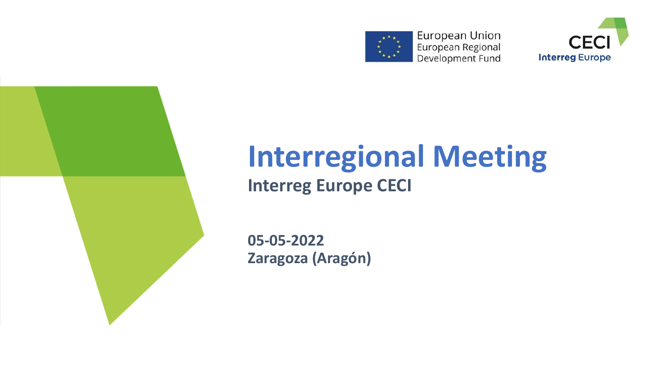





# **Interregional Meeting Interreg Europe CECI**

**05-05-2022 Zaragoza (Aragón)**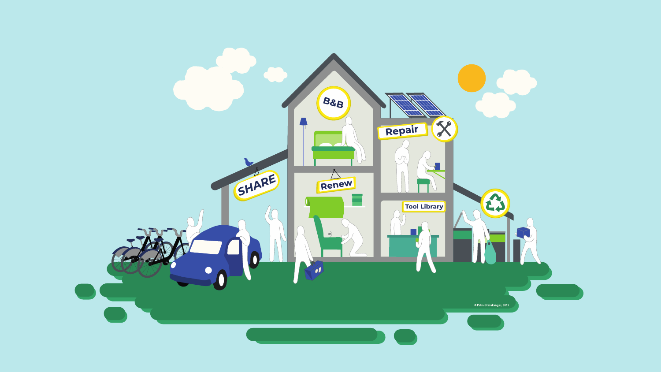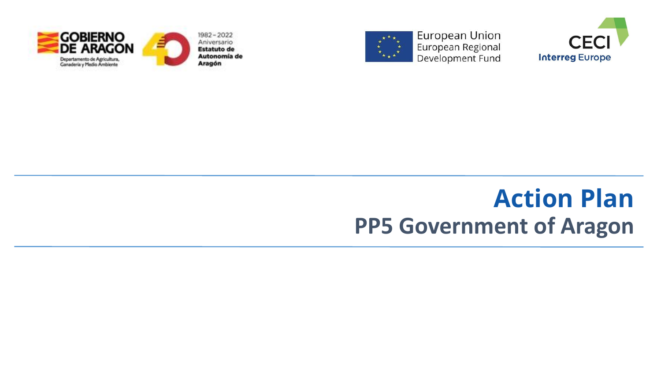





# **Action Plan PP5 Government of Aragon**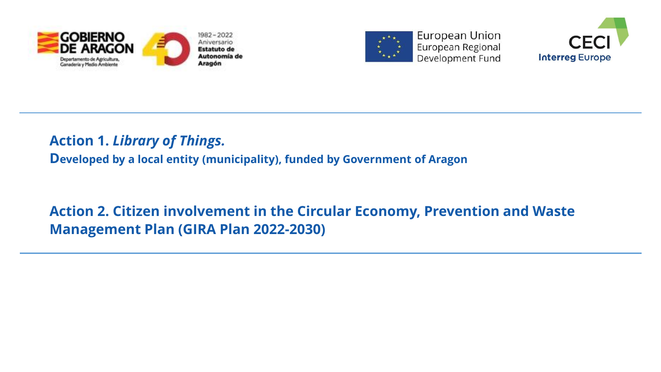





### **Action 1.** *Library of Things.*

**Developed by a local entity (municipality), funded by Government of Aragon**

## **Action 2. Citizen involvement in the Circular Economy, Prevention and Waste Management Plan (GIRA Plan 2022-2030)**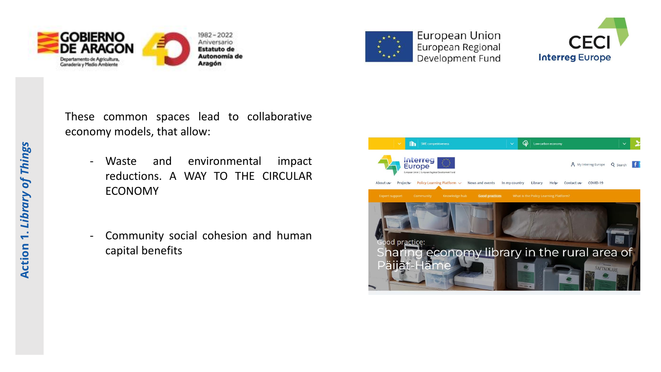





These common spaces lead to collaborative economy models, that allow:

- Waste and environmental impact reductions. A WAY TO THE CIRCULAR ECONOMY
- Community social cohesion and human capital benefits

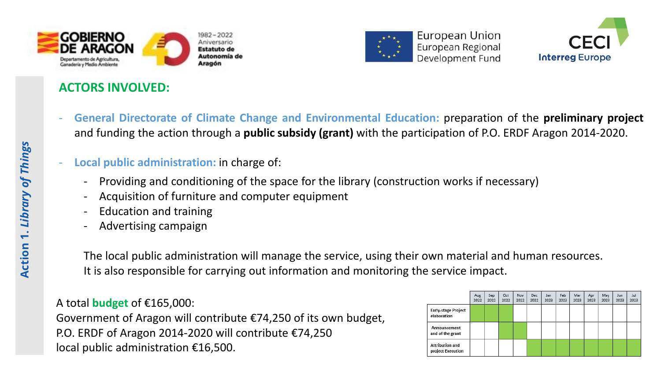

### **ACTORS INVOLVED:**



European Union European Regional Development Fund



- **General Directorate of Climate Change and Environmental Education:** preparation of the **preliminary project** and funding the action through a **public subsidy (grant)** with the participation of P.O. ERDF Aragon 2014-2020.
- **Local public administration:** in charge of:
	- Providing and conditioning of the space for the library (construction works if necessary)
	- Acquisition of furniture and computer equipment
	- Education and training
	- Advertising campaign

The local public administration will manage the service, using their own material and human resources. It is also responsible for carrying out information and monitoring the service impact.

### A total **budget** of €165,000:

Government of Aragon will contribute €74,250 of its own budget, P.O. ERDF of Aragon 2014-2020 will contribute €74,250 local public administration €16,500.

|                                           | Aug<br>2022 | Sep<br>2022 | Oct<br>2022 | Nov<br>2022 | Dec<br>2022 | Jan<br>2023 | Feb<br>2023 | Mar<br>2023 | Apr<br>2023 | May<br>2023 | Jun<br>2023 | Jul<br>2023 |
|-------------------------------------------|-------------|-------------|-------------|-------------|-------------|-------------|-------------|-------------|-------------|-------------|-------------|-------------|
| <b>Early-stage Project</b><br>elaboration |             |             |             |             |             |             |             |             |             |             |             |             |
| Announcement<br>and of the grant          |             |             |             |             |             |             |             |             |             |             |             |             |
| Attribution and<br>project Execution      |             |             |             |             |             |             |             |             |             |             |             |             |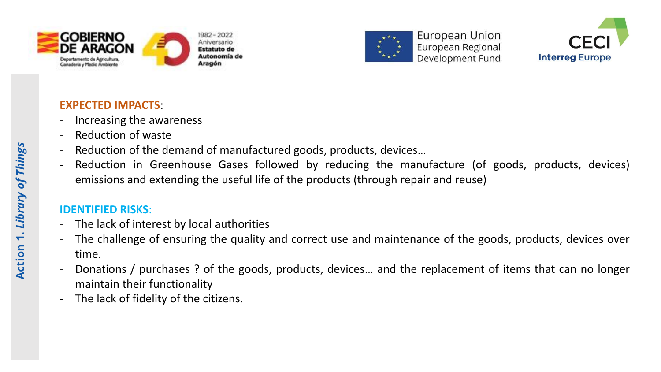





### **EXPECTED IMPACTS**:

- Increasing the awareness
- Reduction of waste
- Reduction of the demand of manufactured goods, products, devices...
- Reduction in Greenhouse Gases followed by reducing the manufacture (of goods, products, devices) emissions and extending the useful life of the products (through repair and reuse)

### **IDENTIFIED RISKS**:

- The lack of interest by local authorities
- The challenge of ensuring the quality and correct use and maintenance of the goods, products, devices over time.
- Donations / purchases ? of the goods, products, devices… and the replacement of items that can no longer maintain their functionality
- The lack of fidelity of the citizens.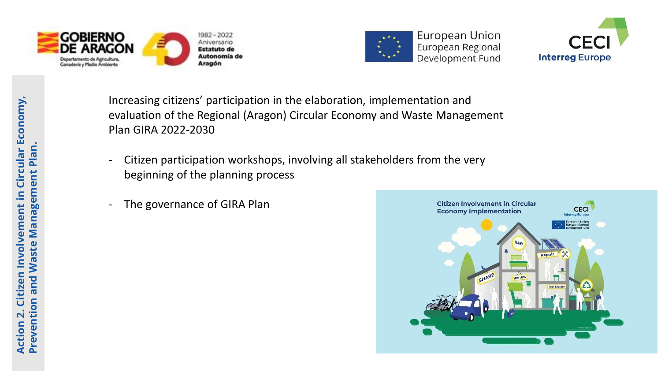





Increasing citizens' participation in the elaboration, implementation and evaluation of the Regional (Aragon) Circular Economy and Waste Management Plan GIRA 2022-2030

- Citizen participation workshops, involving all stakeholders from the very beginning of the planning process
- The governance of GIRA Plan

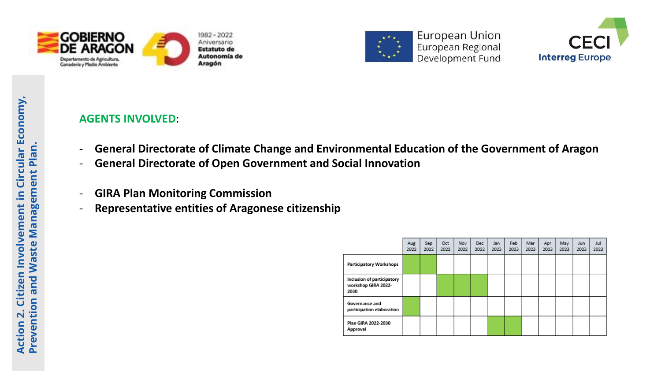





### **AGENTS INVOLVED**:

- **General Directorate of Climate Change and Environmental Education of the Government of Aragon**
- **General Directorate of Open Government and Social Innovation**
- **GIRA Plan Monitoring Commission**
- **Representative entities of Aragonese citizenship**

|                                                           | Aug<br>2022 | Sep<br>2022 | Oct<br>2022 | Nov<br>2022 | Dec<br>2022 | Jan<br>2023 | Feb.<br>2023 | Mar<br>2023 | Apr<br>2023 | May<br>2023 | Jun.<br>2023 | Jul<br>2023 |
|-----------------------------------------------------------|-------------|-------------|-------------|-------------|-------------|-------------|--------------|-------------|-------------|-------------|--------------|-------------|
| Participatory Workshops                                   |             |             |             |             |             |             |              |             |             |             |              |             |
| Inclusion of participatory<br>workshop GIRA 2022-<br>2030 |             |             |             |             |             |             |              |             |             |             |              |             |
| Governance and<br>participation elaboration               |             |             |             |             |             |             |              |             |             |             |              |             |
| Plan GIRA 2022-2030<br>Approval                           |             |             |             |             |             |             |              |             |             |             |              |             |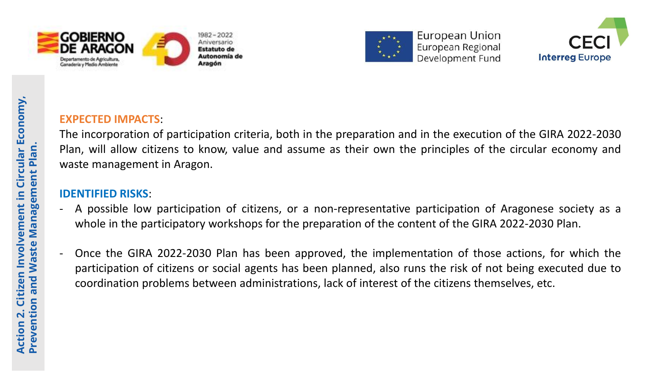





# **Action 2. Citizen Involvement in Circular Economy, Prevention and Waste Management Plan.**

### **EXPECTED IMPACTS**:

The incorporation of participation criteria, both in the preparation and in the execution of the GIRA 2022-2030 Plan, will allow citizens to know, value and assume as their own the principles of the circular economy and waste management in Aragon.

### **IDENTIFIED RISKS**:

- A possible low participation of citizens, or a non-representative participation of Aragonese society as a whole in the participatory workshops for the preparation of the content of the GIRA 2022-2030 Plan.
- Once the GIRA 2022-2030 Plan has been approved, the implementation of those actions, for which the participation of citizens or social agents has been planned, also runs the risk of not being executed due to coordination problems between administrations, lack of interest of the citizens themselves, etc.